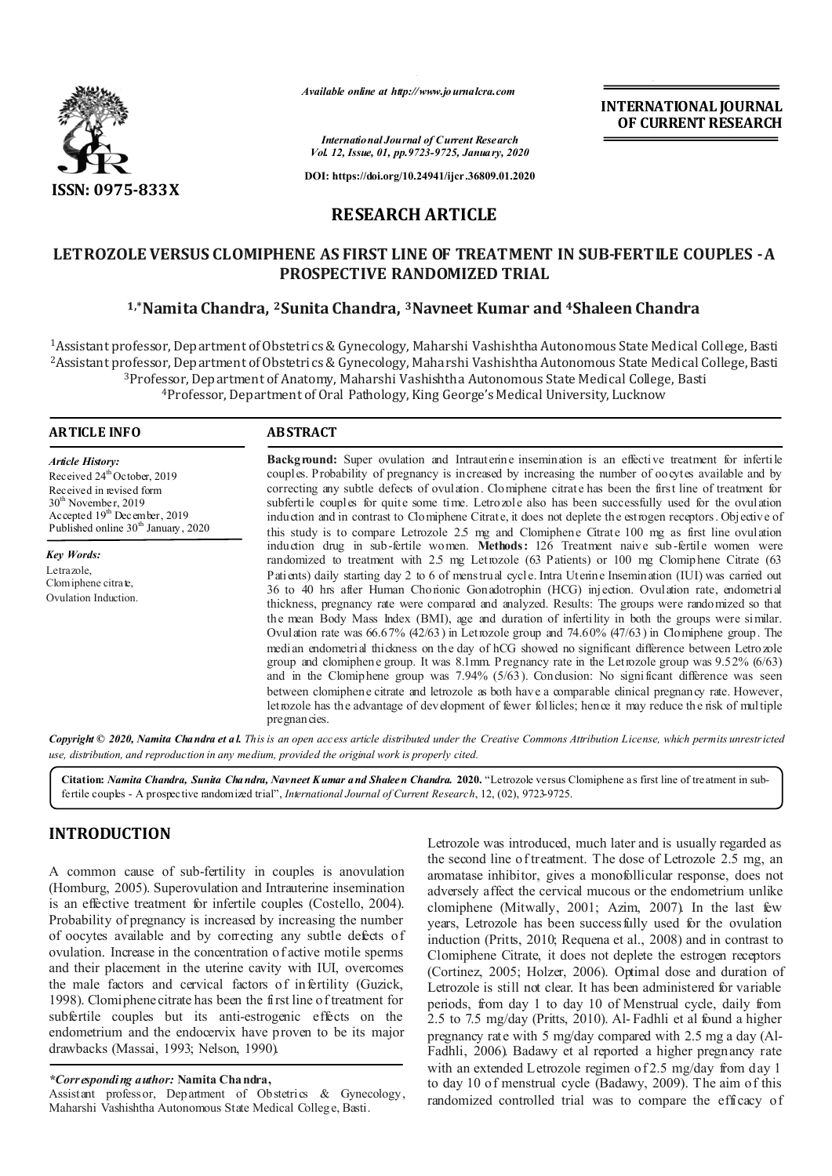

*Available online at http://www.journalcra.com*

**INTERNATIONAL JOURNAL OF CURRENT RESEARCH**

*International Journal of Current Research Vol. 12, Issue, 01, pp.9723-9725, January, 2020*

**DOI: https://doi.org/10.24941/ijcr.36809.01.2020**

# **RESEARCH ARTICLE**

# **LETROZOLE VERSUS CLOMIPHENE AS FIRST LINE OF TREATMENT IN SUB-FERTILE COUPLES -A PROSPECTIVE RANDOMIZED TRIAL**

## **1,\*Namita Chandra, 2Sunita Chandra, 3Navneet Kumar and 4Shaleen Chandra**

1Assistant professor, Department of Obstetrics & Gynecology, Maharshi Vashishtha Autonomous State Medical College, Basti <sup>2</sup>Assistant professor, Department of Obstetrics & Gynecology, Maharshi Vashishtha Autonomous State Medical College, Basti 3Professor, Department of Anatomy, Maharshi Vashishtha Autonomous State Medical College, Basti 4Professor, Department of Oral Pathology, King George's Medical University, Lucknow

#### **ARTICLE INFO ABSTRACT**

*Article History:* Received 24<sup>th</sup> October, 2019 Received in revised form 30<sup>th</sup> November, 2019 Accepted  $19<sup>th</sup>$  December, 2019 Published online 30<sup>th</sup> January, 2020

*Key Words:* Letrazole, Clomiphene citrate, Ovulation Induction. **Background:** Super ovulation and Intrauterine insemination is an effective treatment for infertile couples. Probability of pregnancy is increased by increasing the number of oocytes available and by correcting any subtle defects of ovulation. Clomiphene citrate has been the first line of treatment for subfertile couples for quite some time. Letrozole also has been successfully used for the ovulation induction and in contrast to Clomiphene Citrate, it does not deplete the estrogen receptors. Objective of this study is to compare Letrozole 2.5 mg and Clomiphene Citrate 100 mg as first line ovulation induction drug in sub-fertile women. **Methods:** 126 Treatment naive sub-fertile women were randomized to treatment with 2.5 mg Letrozole (63 Patients) or 100 mg Clomiphene Citrate (63 Patients) daily starting day 2 to 6 of menstrual cycle. Intra Uterine Insemination (IUI) was carried out 36 to 40 hrs after Human Chorionic Gonadotrophin (HCG) injection. Ovulation rate, endometrial thickness, pregnancy rate were compared and analyzed. Results: The groups were randomized so that the mean Body Mass Index (BMI), age and duration of infertility in both the groups were similar. Ovulation rate was 66.67% (42/63) in Letrozole group and 74.60% (47/63) in Clomiphene group. The median endometrial thickness on the day of hCG showed no significant difference between Letrozole group and clomiphene group. It was 8.1mm. Pregnancy rate in the Letrozole group was 9.52% (6/63) and in the Clomiphene group was 7.94% (5/63). Conclusion: No significant difference was seen between clomiphene citrate and letrozole as both have a comparable clinical pregnancy rate. However, letrozole has the advantage of development of fewer follicles; hence it may reduce the risk of multiple pregnancies.

Copyright © 2020, Namita Chandra et al. This is an open access article distributed under the Creative Commons Attribution License, which permits unrestricted *use, distribution, and reproduction in any medium, provided the original work is properly cited.*

**Citation:** *Namita Chandra, Sunita Chandra, Navneet Kumar and Shaleen Chandra.* **2020.** "Letrozole versus Clomiphene as first line of treatment in subfertile couples - A prospective randomized trial", *International Journal of Current Research*, 12, (02), 9723-9725.

# **INTRODUCTION**

A common cause of sub-fertility in couples is anovulation (Homburg, 2005). Superovulation and Intrauterine insemination is an effective treatment for infertile couples (Costello, 2004). Probability of pregnancy is increased by increasing the number of oocytes available and by correcting any subtle defects of ovulation. Increase in the concentration of active motile sperms and their placement in the uterine cavity with IUI, overcomes the male factors and cervical factors of infertility (Guzick, 1998). Clomiphene citrate has been the first line of treatment for subfertile couples but its anti-estrogenic effects on the endometrium and the endocervix have proven to be its major drawbacks (Massai, 1993; Nelson, 1990).

Assistant professor, Department of Obstetrics & Gynecology, Maharshi Vashishtha Autonomous State Medical College, Basti.

Letrozole was introduced, much later and is usually regarded as the second line oftreatment. The dose of Letrozole 2.5 mg, an aromatase inhibitor, gives a monofollicular response, does not adversely affect the cervical mucous or the endometrium unlike clomiphene (Mitwally, 2001; Azim, 2007). In the last few years, Letrozole has been successfully used for the ovulation induction (Pritts, 2010; Requena et al., 2008) and in contrast to Clomiphene Citrate, it does not deplete the estrogen receptors (Cortinez, 2005; Holzer, 2006). Optimal dose and duration of Letrozole is still not clear. It has been administered for variable periods, from day 1 to day 10 of Menstrual cycle, daily from 2.5 to 7.5 mg/day (Pritts, 2010). Al- Fadhli et al found a higher pregnancy rate with 5 mg/day compared with 2.5 mg a day (Al-Fadhli, 2006). Badawy et al reported a higher pregnancy rate with an extended Letrozole regimen of 2.5 mg/day from day 1 to day 10 of menstrual cycle (Badawy, 2009). The aim of this randomized controlled trial was to compare the efficacy of

*<sup>\*</sup>Corresponding author:* **Namita Chandra,**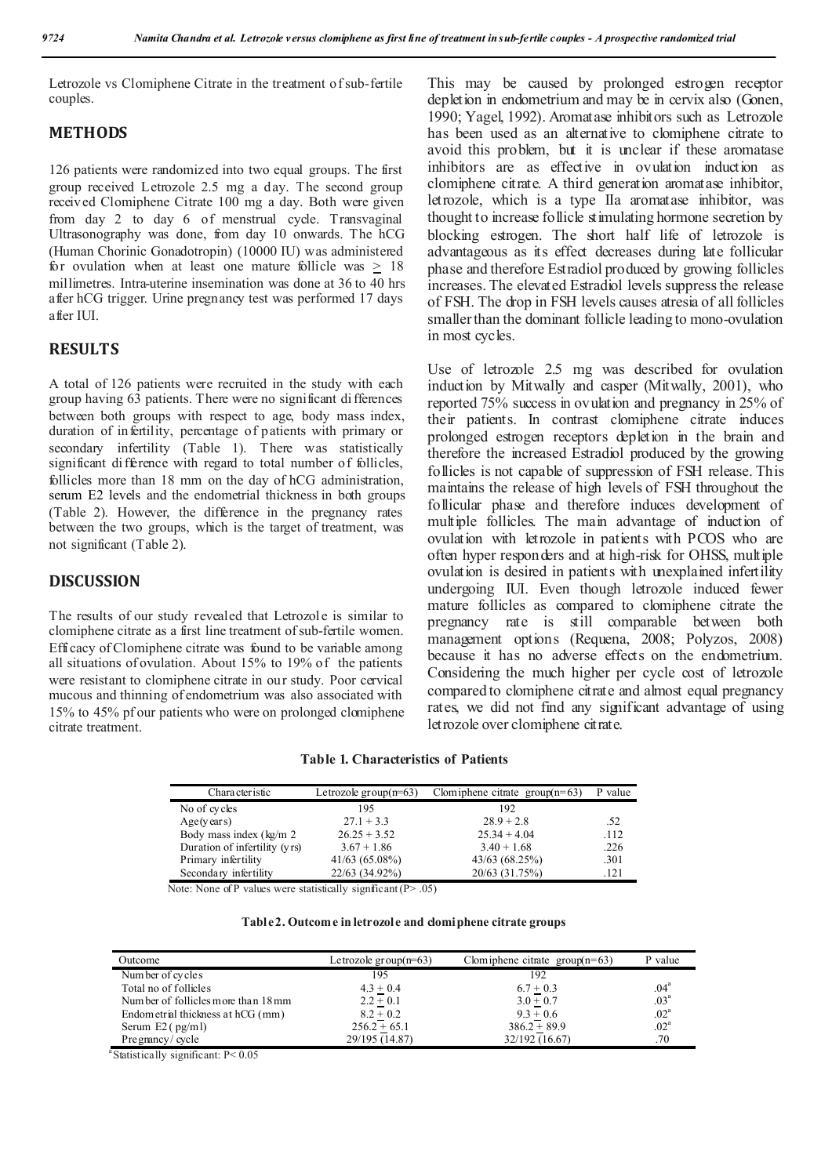Letrozole vs Clomiphene Citrate in the treatment of sub-fertile couples.

## **METHODS**

126 patients were randomized into two equal groups. The first group received Letrozole 2.5 mg a day. The second group received Clomiphene Citrate 100 mg a day. Both were given from day 2 to day 6 of menstrual cycle. Transvaginal Ultrasonography was done, from day 10 onwards. The hCG (Human Chorinic Gonadotropin) (10000 IU) was administered for ovulation when at least one mature follicle was  $\geq 18$ millimetres. Intra-uterine insemination was done at 36 to 40 hrs after hCG trigger. Urine pregnancy test was performed 17 days after IUI.

## **RESULTS**

A total of 126 patients were recruited in the study with each group having 63 patients. There were no significant differences between both groups with respect to age, body mass index, duration of infertility, percentage of patients with primary or secondary infertility (Table 1). There was statistically significant difference with regard to total number of follicles, follicles more than 18 mm on the day of hCG administration, serum E2 levels and the endometrial thickness in both groups (Table 2). However, the difference in the pregnancy rates between the two groups, which is the target of treatment, was not significant (Table 2).

### **DISCUSSION**

The results of our study revealed that Letrozole is similar to clomiphene citrate as a first line treatment of sub-fertile women. Efficacy ofClomiphene citrate was found to be variable among all situations of ovulation. About 15% to 19% of the patients were resistant to clomiphene citrate in our study. Poor cervical mucous and thinning of endometrium was also associated with 15% to 45% pf our patients who were on prolonged clomiphene citrate treatment.

This may be caused by prolonged estrogen receptor depletion in endometrium and may be in cervix also (Gonen, 1990; Yagel, 1992). Aromatase inhibitors such as Letrozole has been used as an alternative to clomiphene citrate to avoid this problem, but it is unclear if these aromatase inhibitors are as effective in ovulation induction as clomiphene citrate. A third generation aromatase inhibitor, letrozole, which is a type IIa aromatase inhibitor, was thought to increase follicle stimulating hormone secretion by blocking estrogen. The short half life of letrozole is advantageous as its effect decreases during late follicular phase and therefore Estradiol produced by growing follicles increases. The elevated Estradiol levels suppressthe release of FSH. The drop in FSH levels causes atresia of all follicles smaller than the dominant follicle leading to mono-ovulation in most cycles.

Use of letrozole 2.5 mg was described for ovulation induction by Mitwally and casper (Mitwally, 2001), who reported 75% success in ovulation and pregnancy in 25% of their patients. In contrast clomiphene citrate induces prolonged estrogen receptors depletion in the brain and therefore the increased Estradiol produced by the growing follicles is not capable of suppression of FSH release. This maintains the release of high levels of FSH throughout the follicular phase and therefore induces development of multiple follicles. The main advantage of induction of ovulation with letrozole in patients with PCOS who are often hyper responders and at high-risk for OHSS, multiple ovulation is desired in patients with unexplained infertility undergoing IUI. Even though letrozole induced fewer mature follicles as compared to clomiphene citrate the pregnancy rate is still comparable between both management options (Requena, 2008; Polyzos, 2008) because it has no adverse effects on the endometrium. Considering the much higher per cycle cost of letrozole compared to clomiphene citrate and almost equal pregnancy rates, we did not find any significant advantage of using letrozole over clomiphene citrate.

#### **Table 1. Characteristics of Patients**

| Characteristic                | Letrozole group $($ r=63 $)$ | Clom iphene citrate group $(n=63)$ | P value |
|-------------------------------|------------------------------|------------------------------------|---------|
| No of cycles                  | 195                          | 192                                |         |
| Age(years)                    | $27.1 + 3.3$                 | $28.9 + 2.8$                       | .52     |
| Body mass index (kg/m 2)      | $26.25 + 3.52$               | $25.34 + 4.04$                     | .112    |
| Duration of infertility (yrs) | $3.67 + 1.86$                | $3.40 + 1.68$                      | .226    |
| Primary infertility           | $41/63(65.08\%)$             | 43/63 (68.25%)                     | .301    |
| Secondary infertility         | 22/63 (34.92%)               | 20/63 (31.75%)                     | .121    |

Note: None of P values were statistically significant ( $P > .05$ )

**Table2. Outcome in letrozole and clomiphene citrate groups**

| Outcome                             | Letrozole group $(n=63)$ | Clomiphene citrate $group(n=63)$ | P value          |
|-------------------------------------|--------------------------|----------------------------------|------------------|
| Number of cycles                    | 195                      | 192                              |                  |
| Total no of follicles               | $4.3 + 0.4$              | $6.7 + 0.3$                      | .04 <sup>a</sup> |
| Number of follicles more than 18 mm | $2.2 + 0.1$              | $3.0 + 0.7$                      | .03 <sup>a</sup> |
| Endometrial thickness at hCG (mm)   | $8.2 + 0.2$              | $9.3 + 0.6$                      | .02 <sup>a</sup> |
| Serum $E2$ ( $pg/ml$ )              | $256.2 + 65.1$           | $386.2 + 89.9$                   | .02 <sup>a</sup> |
| Pregnancy/cycle                     | 29/195 (14.87)           | 32/192 (16.67)                   | .70              |

a Statistically significant: P< 0.05